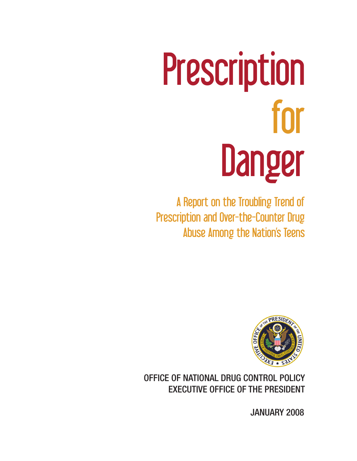# Prescription for Danger

A Report on the Troubling Trend of Prescription and Over-the-Counter Drug Abuse Among the Nation's Teens



OFFICE OF NATIONAL DRUG CONTROL POLICY EXECUTIVE OFFICE OF THE PRESIDENT

JANUARY 2008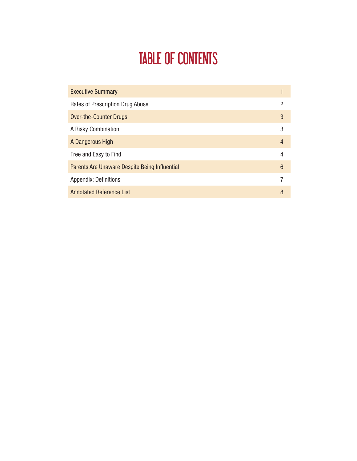# TABLE OF CONTENTS

| <b>Executive Summary</b>                      |   |
|-----------------------------------------------|---|
| Rates of Prescription Drug Abuse              | 2 |
| <b>Over-the-Counter Drugs</b>                 | 3 |
| A Risky Combination                           | 3 |
| A Dangerous High                              | 4 |
| Free and Easy to Find                         | 4 |
| Parents Are Unaware Despite Being Influential | 6 |
| <b>Appendix: Definitions</b>                  | 7 |
| <b>Annotated Reference List</b>               | 8 |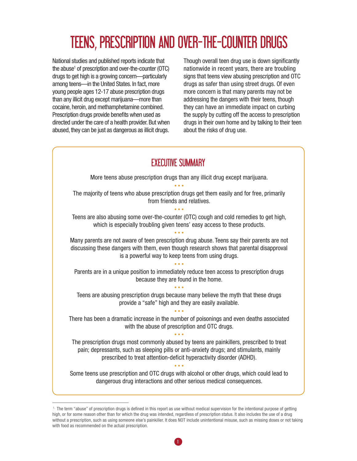# Teens, Prescription and Over-the-Counter Drugs

National studies and published reports indicate that the abuse<sup>1</sup> of prescription and over-the-counter (OTC) drugs to get high is a growing concern—particularly among teens—in the United States. In fact, more young people ages 12-17 abuse prescription drugs than any illicit drug except marijuana—more than cocaine, heroin, and methamphetamine combined. Prescription drugs provide benefits when used as directed under the care of a health provider. But when abused, they can be just as dangerous as illicit drugs.

Though overall teen drug use is down significantly nationwide in recent years, there are troubling signs that teens view abusing prescription and OTC drugs as safer than using street drugs. Of even more concern is that many parents may not be addressing the dangers with their teens, though they can have an immediate impact on curbing the supply by cutting off the access to prescription drugs in their own home and by talking to their teen about the risks of drug use.

# EXECUTIVE SUMMARY

More teens abuse prescription drugs than any illicit drug except marijuana.

• • • The majority of teens who abuse prescription drugs get them easily and for free, primarily from friends and relatives. • • •

Teens are also abusing some over-the-counter (OTC) cough and cold remedies to get high, which is especially troubling given teens' easy access to these products.

• • • Many parents are not aware of teen prescription drug abuse. Teens say their parents are not discussing these dangers with them, even though research shows that parental disapproval is a powerful way to keep teens from using drugs.

• • • Parents are in a unique position to immediately reduce teen access to prescription drugs because they are found in the home.

• • • Teens are abusing prescription drugs because many believe the myth that these drugs provide a "safe" high and they are easily available.

• • • There has been a dramatic increase in the number of poisonings and even deaths associated with the abuse of prescription and OTC drugs. • • •

The prescription drugs most commonly abused by teens are painkillers, prescribed to treat pain; depressants, such as sleeping pills or anti-anxiety drugs; and stimulants, mainly prescribed to treat attention-deficit hyperactivity disorder (ADHD).

• • • Some teens use prescription and OTC drugs with alcohol or other drugs, which could lead to dangerous drug interactions and other serious medical consequences.

 <sup>1.</sup> The term "abuse" of prescription drugs is defined in this report as use without medical supervision for the intentional purpose of getting high, or for some reason other than for which the drug was intended, regardless of prescription status. It also includes the use of a drug without a prescription, such as using someone else's painkiller. It does NOT include unintentional misuse, such as missing doses or not taking with food as recommended on the actual prescription.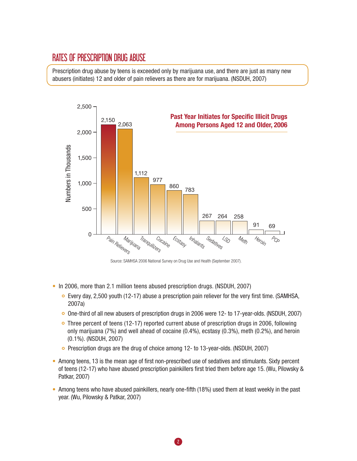## Rates of Prescription Drug Abuse

Prescription drug abuse by teens is exceeded only by marijuana use, and there are just as many new abusers (initiates) 12 and older of pain relievers as there are for marijuana. (NSDUH, 2007)



Source: SAMHSA 2006 National Survey on Drug Use and Health (September 2007).

- In 2006, more than 2.1 million teens abused prescription drugs. (NSDUH, 2007)
	- $\circ$  Every day, 2,500 youth (12-17) abuse a prescription pain reliever for the very first time. (SAMHSA, 2007a)
	- One-third of all new abusers of prescription drugs in 2006 were 12- to 17-year-olds. (NSDUH, 2007)
	- Three percent of teens (12-17) reported current abuse of prescription drugs in 2006, following only marijuana (7%) and well ahead of cocaine (0.4%), ecstasy (0.3%), meth (0.2%), and heroin (0.1%). (NSDUH, 2007)
	- Prescription drugs are the drug of choice among 12- to 13-year-olds. (NSDUH, 2007)
- Among teens, 13 is the mean age of first non-prescribed use of sedatives and stimulants. Sixty percent of teens (12-17) who have abused prescription painkillers first tried them before age 15. (Wu, Pilowsky & Patkar, 2007)
- Among teens who have abused painkillers, nearly one-fifth (18%) used them at least weekly in the past year. (Wu, Pilowsky & Patkar, 2007)

2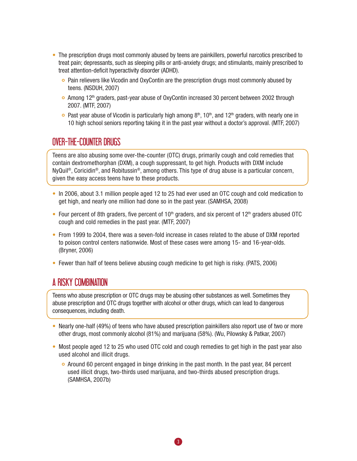- The prescription drugs most commonly abused by teens are painkillers, powerful narcotics prescribed to treat pain; depressants, such as sleeping pills or anti-anxiety drugs; and stimulants, mainly prescribed to treat attention-deficit hyperactivity disorder (ADHD).
	- **Pain relievers like Vicodin and OxyContin are the prescription drugs most commonly abused by** teens. (NSDUH, 2007)
	- $\circ$  Among 12<sup>th</sup> graders, past-year abuse of OxyContin increased 30 percent between 2002 through 2007. (MTF, 2007)
	- **Past year abuse of Vicodin is particularly high among 8th, 10th, and 12th graders, with nearly one in** 10 high school seniors reporting taking it in the past year without a doctor's approval. (MTF, 2007)

## Over-the-Counter Drugs

Teens are also abusing some over-the-counter (OTC) drugs, primarily cough and cold remedies that contain dextromethorphan (DXM), a cough suppressant, to get high. Products with DXM include NyQuil®, Coricidin®, and Robitussin®, among others. This type of drug abuse is a particular concern, given the easy access teens have to these products.

- In 2006, about 3.1 million people aged 12 to 25 had ever used an OTC cough and cold medication to get high, and nearly one million had done so in the past year. (SAMHSA, 2008)
- Four percent of 8th graders, five percent of 10<sup>th</sup> graders, and six percent of 12<sup>th</sup> graders abused OTC cough and cold remedies in the past year. (MTF, 2007)
- From 1999 to 2004, there was a seven-fold increase in cases related to the abuse of DXM reported to poison control centers nationwide. Most of these cases were among 15- and 16-year-olds. (Bryner, 2006)
- Fewer than half of teens believe abusing cough medicine to get high is risky. (PATS, 2006)

# A Risky Combination

Teens who abuse prescription or OTC drugs may be abusing other substances as well. Sometimes they abuse prescription and OTC drugs together with alcohol or other drugs, which can lead to dangerous consequences, including death.

- Nearly one-half (49%) of teens who have abused prescription painkillers also report use of two or more other drugs, most commonly alcohol (81%) and marijuana (58%). (Wu, Pilowsky & Patkar, 2007)
- Most people aged 12 to 25 who used OTC cold and cough remedies to get high in the past year also used alcohol and illicit drugs.
	- Around 60 percent engaged in binge drinking in the past month. In the past year, 84 percent used illicit drugs, two-thirds used marijuana, and two-thirds abused prescription drugs. (SAMHSA, 2007b)

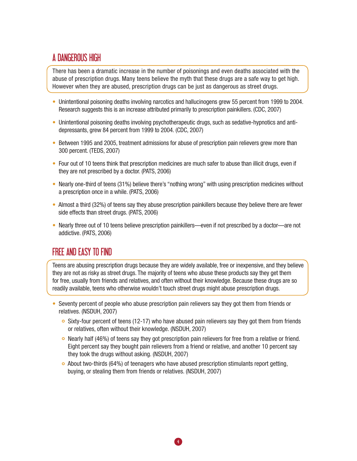# A Dangerous High

There has been a dramatic increase in the number of poisonings and even deaths associated with the abuse of prescription drugs. Many teens believe the myth that these drugs are a safe way to get high. However when they are abused, prescription drugs can be just as dangerous as street drugs.

- Unintentional poisoning deaths involving narcotics and hallucinogens grew 55 percent from 1999 to 2004. Research suggests this is an increase attributed primarily to prescription painkillers. (CDC, 2007)
- Unintentional poisoning deaths involving psychotherapeutic drugs, such as sedative-hypnotics and antidepressants, grew 84 percent from 1999 to 2004. (CDC, 2007)
- Between 1995 and 2005, treatment admissions for abuse of prescription pain relievers grew more than 300 percent. (TEDS, 2007)
- Four out of 10 teens think that prescription medicines are much safer to abuse than illicit drugs, even if they are not prescribed by a doctor. (PATS, 2006)
- Nearly one-third of teens (31%) believe there's "nothing wrong" with using prescription medicines without a prescription once in a while. (PATS, 2006)
- Almost a third (32%) of teens say they abuse prescription painkillers because they believe there are fewer side effects than street drugs. (PATS, 2006)
- Nearly three out of 10 teens believe prescription painkillers—even if not prescribed by a doctor—are not addictive. (PATS, 2006)

# Free and Easy to Find

Teens are abusing prescription drugs because they are widely available, free or inexpensive, and they believe they are not as risky as street drugs. The majority of teens who abuse these products say they get them for free, usually from friends and relatives, and often without their knowledge. Because these drugs are so readily available, teens who otherwise wouldn't touch street drugs might abuse prescription drugs.

- Seventy percent of people who abuse prescription pain relievers say they got them from friends or relatives. (NSDUH, 2007)
	- $\circ$  Sixty-four percent of teens (12-17) who have abused pain relievers say they got them from friends or relatives, often without their knowledge. (NSDUH, 2007)
	- $\circ$  Nearly half (46%) of teens say they got prescription pain relievers for free from a relative or friend. Eight percent say they bought pain relievers from a friend or relative, and another 10 percent say they took the drugs without asking. (NSDUH, 2007)
	- $\circ$  About two-thirds (64%) of teenagers who have abused prescription stimulants report getting, buying, or stealing them from friends or relatives. (NSDUH, 2007)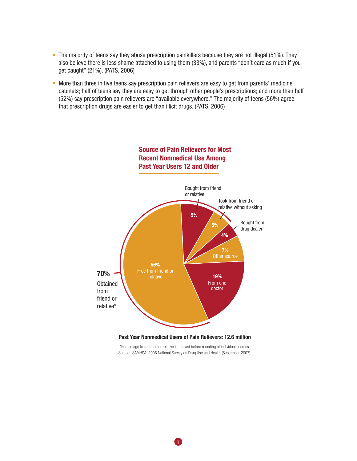- The majority of teens say they abuse prescription painkillers because they are not illegal (51%). They also believe there is less shame attached to using them (33%), and parents "don't care as much if you get caught" (21%). (PATS, 2006)
- More than three in five teens say prescription pain relievers are easy to get from parents' medicine cabinets; half of teens say they are easy to get through other people's prescriptions; and more than half (52%) say prescription pain relievers are "available everywhere." The majority of teens (56%) agree that prescription drugs are easier to get than illicit drugs. (PATS, 2006)



# **Source of Pain Relievers for Most Recent Nonmedical Use Among**

\*Percentage from friend or relative is derived before rounding of individual sources. Source: SAMHSA, 2006 National Survey on Drug Use and Health (September 2007).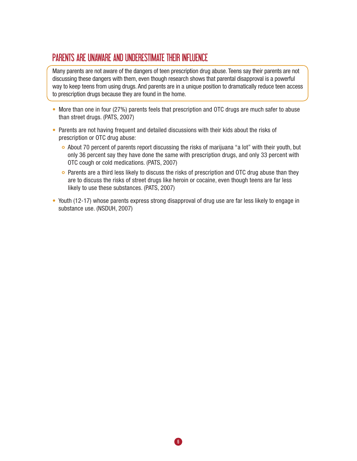# Parents Are Unaware and underestimate their influence

Many parents are not aware of the dangers of teen prescription drug abuse. Teens say their parents are not discussing these dangers with them, even though research shows that parental disapproval is a powerful way to keep teens from using drugs. And parents are in a unique position to dramatically reduce teen access to prescription drugs because they are found in the home.

- More than one in four (27%) parents feels that prescription and OTC drugs are much safer to abuse than street drugs. (PATS, 2007)
- Parents are not having frequent and detailed discussions with their kids about the risks of prescription or OTC drug abuse:
	- $\circ$  About 70 percent of parents report discussing the risks of marijuana "a lot" with their youth, but only 36 percent say they have done the same with prescription drugs, and only 33 percent with OTC cough or cold medications. (PATS, 2007)
	- **Parents are a third less likely to discuss the risks of prescription and OTC drug abuse than they** are to discuss the risks of street drugs like heroin or cocaine, even though teens are far less likely to use these substances. (PATS, 2007)
- Youth (12-17) whose parents express strong disapproval of drug use are far less likely to engage in substance use. (NSDUH, 2007)

6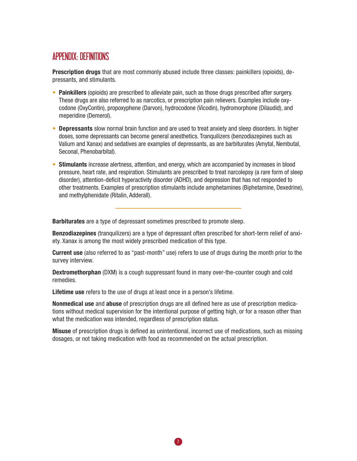## APPENDIX: DEFINITIONS

**Prescription drugs** that are most commonly abused include three classes: painkillers (opioids), depressants, and stimulants.

- **Painkillers** (opioids) are prescribed to alleviate pain, such as those drugs prescribed after surgery. These drugs are also referred to as narcotics, or prescription pain relievers. Examples include oxycodone (OxyContin), propoxyphene (Darvon), hydrocodone (Vicodin), hydromorphone (Dilaudid), and meperidine (Demerol).
- **Depressants** slow normal brain function and are used to treat anxiety and sleep disorders. In higher doses, some depressants can become general anesthetics. Tranquilizers (benzodiazepines such as Valium and Xanax) and sedatives are examples of depressants, as are barbiturates (Amytal, Nembutal, Seconal, Phenobarbital).
- **Stimulants** increase alertness, attention, and energy, which are accompanied by increases in blood pressure, heart rate, and respiration. Stimulants are prescribed to treat narcolepsy (a rare form of sleep disorder), attention-deficit hyperactivity disorder (ADHD), and depression that has not responded to other treatments. Examples of prescription stimulants include amphetamines (Biphetamine, Dexedrine), and methylphenidate (Ritalin, Adderall).

**Barbiturates** are a type of depressant sometimes prescribed to promote sleep.

**Benzodiazepines** (tranquilizers) are a type of depressant often prescribed for short-term relief of anxiety. Xanax is among the most widely prescribed medication of this type.

**Current use** (also referred to as "past-month" use) refers to use of drugs during the month prior to the survey interview.

**Dextromethorphan** (DXM) is a cough suppressant found in many over-the-counter cough and cold remedies.

**Lifetime use** refers to the use of drugs at least once in a person's lifetime.

**Nonmedical use** and **abuse** of prescription drugs are all defined here as use of prescription medications without medical supervision for the intentional purpose of getting high, or for a reason other than what the medication was intended, regardless of prescription status.

**Misuse** of prescription drugs is defined as unintentional, incorrect use of medications, such as missing dosages, or not taking medication with food as recommended on the actual prescription.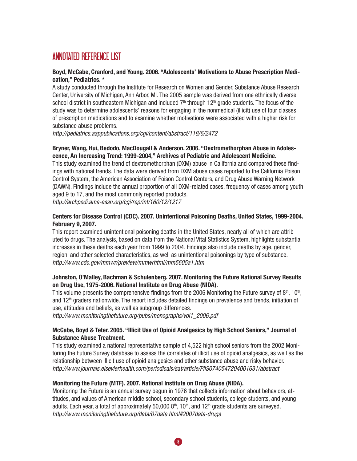# ANNOTATED REFERENCE LIST

#### **Boyd, McCabe, Cranford, and Young. 2006. "Adolescents' Motivations to Abuse Prescription Medication," Pediatrics. \***

A study conducted through the Institute for Research on Women and Gender, Substance Abuse Research Center, University of Michigan, Ann Arbor, MI. The 2005 sample was derived from one ethnically diverse school district in southeastern Michigan and included  $7<sup>th</sup>$  through 12<sup>th</sup> grade students. The focus of the study was to determine adolescents' reasons for engaging in the nonmedical (illicit) use of four classes of prescription medications and to examine whether motivations were associated with a higher risk for substance abuse problems.

*http://pediatrics.aappublications.org/cgi/content/abstract/118/6/2472* 

#### **Bryner, Wang, Hui, Bedodo, MacDougall & Anderson. 2006. "Dextromethorphan Abuse in Adolescence, An Increasing Trend: 1999-2004," Archives of Pediatric and Adolescent Medicine.**

This study examined the trend of dextromethorphan (DXM) abuse in California and compared these findings with national trends. The data were derived from DXM abuse cases reported to the California Poison Control System, the American Association of Poison Control Centers, and Drug Abuse Warning Network (DAWN). Findings include the annual proportion of all DXM-related cases, frequency of cases among youth aged 9 to 17, and the most commonly reported products. *http://archpedi.ama-assn.org/cgi/reprint/160/12/1217*

#### **Centers for Disease Control (CDC). 2007. Unintentional Poisoning Deaths, United States, 1999-2004. February 9, 2007.**

This report examined unintentional poisoning deaths in the United States, nearly all of which are attributed to drugs. The analysis, based on data from the National Vital Statistics System, highlights substantial increases in these deaths each year from 1999 to 2004. Findings also include deaths by age, gender, region, and other selected characteristics, as well as unintentional poisonings by type of substance. *http://www.cdc.gov/mmwr/preview/mmwrhtml/mm5605a1.htm*

#### **Johnston, O'Malley, Bachman & Schulenberg. 2007. Monitoring the Future National Survey Results on Drug Use, 1975-2006. National Institute on Drug Abuse (NIDA).**

This volume presents the comprehensive findings from the 2006 Monitoring the Future survey of  $8<sup>th</sup>$ , 10<sup>th</sup>, and  $12<sup>th</sup>$  graders nationwide. The report includes detailed findings on prevalence and trends, initiation of use, attitudes and beliefs, as well as subgroup differences.

*http://www.monitoringthefuture.org/pubs/monographs/vol1\_2006.pdf*

#### **McCabe, Boyd & Teter. 2005. "Illicit Use of Opioid Analgesics by High School Seniors," Journal of Substance Abuse Treatment.**

This study examined a national representative sample of 4,522 high school seniors from the 2002 Monitoring the Future Survey database to assess the correlates of illicit use of opioid analgesics, as well as the relationship between illicit use of opioid analgesics and other substance abuse and risky behavior. *http://www.journals.elsevierhealth.com/periodicals/sat/article/PIIS0740547204001631/abstract* 

#### **Monitoring the Future (MTF). 2007. National Institute on Drug Abuse (NIDA).**

Monitoring the Future is an annual survey begun in 1976 that collects information about behaviors, attitudes, and values of American middle school, secondary school students, college students, and young adults. Each year, a total of approximately 50,000  $8<sup>th</sup>$ , 10<sup>th</sup>, and 12<sup>th</sup> grade students are surveyed. *http://www.monitoringthefuture.org/data/07data.html#2007data-drugs*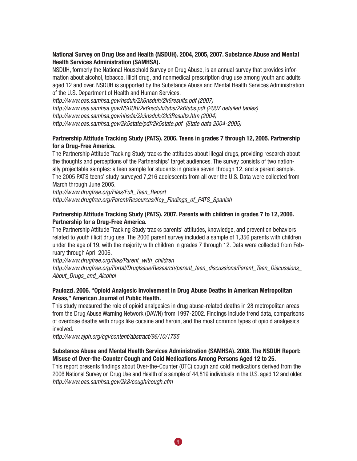#### **National Survey on Drug Use and Health (NSDUH). 2004, 2005, 2007. Substance Abuse and Mental Health Services Administration (SAMHSA).**

NSDUH, formerly the National Household Survey on Drug Abuse, is an annual survey that provides information about alcohol, tobacco, illicit drug, and nonmedical prescription drug use among youth and adults aged 12 and over. NSDUH is supported by the Substance Abuse and Mental Health Services Administration of the U.S. Department of Health and Human Services.

*http://www.oas.samhsa.gov/nsduh/2k6nsduh/2k6results.pdf (2007) http://www.oas.samhsa.gov/NSDUH/2k6nsduh/tabs/2k6tabs.pdf (2007 detailed tables) http://www.oas.samhsa.gov/nhsda/2k3nsduh/2k3Results.htm (2004) http://www.oas.samhsa.gov/2k5state/pdf/2k5state.pdf (State data 2004-2005)*

#### **Partnership Attitude Tracking Study (PATS). 2006. Teens in grades 7 through 12, 2005. Partnership for a Drug-Free America.**

The Partnership Attitude Tracking Study tracks the attitudes about illegal drugs, providing research about the thoughts and perceptions of the Partnerships' target audiences. The survey consists of two nationally projectable samples: a teen sample for students in grades seven through 12, and a parent sample. The 2005 PATS teens' study surveyed 7,216 adolescents from all over the U.S. Data were collected from March through June 2005.

*http://www.drugfree.org/Files/Full\_Teen\_Report http://www.drugfree.org/Parent/Resources/Key\_Findings\_of\_PATS\_Spanish* 

#### **Partnership Attitude Tracking Study (PATS). 2007. Parents with children in grades 7 to 12, 2006. Partnership for a Drug-Free America.**

The Partnership Attitude Tracking Study tracks parents' attitudes, knowledge, and prevention behaviors related to youth illicit drug use. The 2006 parent survey included a sample of 1,356 parents with children under the age of 19, with the majority with children in grades 7 through 12. Data were collected from February through April 2006.

*http://www.drugfree.org/files/Parent\_with\_children http://www.drugfree.org/Portal/DrugIssue/Research/parent\_teen\_discussions/Parent\_Teen\_Discussions\_ About\_Drugs\_and\_Alcohol* 

#### **Paulozzi. 2006. "Opioid Analgesic Involvement in Drug Abuse Deaths in American Metropolitan Areas," American Journal of Public Health.**

This study measured the role of opioid analgesics in drug abuse-related deaths in 28 metropolitan areas from the Drug Abuse Warning Network (DAWN) from 1997-2002. Findings include trend data, comparisons of overdose deaths with drugs like cocaine and heroin, and the most common types of opioid analgesics involved.

*http://www.ajph.org/cgi/content/abstract/96/10/1755* 

#### **Substance Abuse and Mental Health Services Administration (SAMHSA). 2008. The NSDUH Report: Misuse of Over-the-Counter Cough and Cold Medications Among Persons Aged 12 to 25.**

This report presents findings about Over-the-Counter (OTC) cough and cold medications derived from the 2006 National Survey on Drug Use and Health of a sample of 44,819 individuals in the U.S. aged 12 and older. *http://www.oas.samhsa.gov/2k8/cough/cough.cfm*

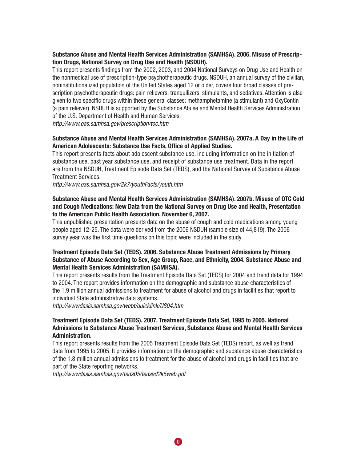#### **Substance Abuse and Mental Health Services Administration (SAMHSA). 2006. Misuse of Prescription Drugs, National Survey on Drug Use and Health (NSDUH).**

This report presents findings from the 2002, 2003, and 2004 National Surveys on Drug Use and Health on the nonmedical use of prescription-type psychotherapeutic drugs. NSDUH, an annual survey of the civilian, noninstitutionalized population of the United States aged 12 or older, covers four broad classes of prescription psychotherapeutic drugs: pain relievers, tranquilizers, stimulants, and sedatives. Attention is also given to two specific drugs within these general classes: methamphetamine (a stimulant) and OxyContin (a pain reliever). NSDUH is supported by the Substance Abuse and Mental Health Services Administration of the U.S. Department of Health and Human Services.

*http://www.oas.samhsa.gov/prescription/toc.htm*

#### **Substance Abuse and Mental Health Services Administration (SAMHSA). 2007a. A Day in the Life of American Adolescents: Substance Use Facts, Office of Applied Studies.**

This report presents facts about adolescent substance use, including information on the initiation of substance use, past year substance use, and receipt of substance use treatment. Data in the report are from the NSDUH, Treatment Episode Data Set (TEDS), and the National Survey of Substance Abuse Treatment Services.

*http://www.oas.samhsa.gov/2k7/youthFacts/youth.htm* 

#### **Substance Abuse and Mental Health Services Administration (SAMHSA). 2007b. Misuse of OTC Cold and Cough Medications: New Data from the National Survey on Drug Use and Health, Presentation to the American Public Health Association, November 6, 2007.**

This unpublished presentation presents data on the abuse of cough and cold medications among young people aged 12-25. The data were derived from the 2006 NSDUH (sample size of 44,819). The 2006 survey year was the first time questions on this topic were included in the study.

#### **Treatment Episode Data Set (TEDS). 2006. Substance Abuse Treatment Admissions by Primary Substance of Abuse According to Sex, Age Group, Race, and Ethnicity, 2004. Substance Abuse and Mental Health Services Administration (SAMHSA).**

This report presents results from the Treatment Episode Data Set (TEDS) for 2004 and trend data for 1994 to 2004. The report provides information on the demographic and substance abuse characteristics of the 1.9 million annual admissions to treatment for abuse of alcohol and drugs in facilities that report to individual State administrative data systems.

*http://wwwdasis.samhsa.gov/webt/quicklink/US04.htm*

#### **Treatment Episode Data Set (TEDS). 2007. Treatment Episode Data Set, 1995 to 2005. National Admissions to Substance Abuse Treatment Services, Substance Abuse and Mental Health Services Administration.**

This report presents results from the 2005 Treatment Episode Data Set (TEDS) report, as well as trend data from 1995 to 2005. It provides information on the demographic and substance abuse characteristics of the 1.8 million annual admissions to treatment for the abuse of alcohol and drugs in facilities that are part of the State reporting networks.

10

*http://wwwdasis.samhsa.gov/teds05/tedsad2k5web.pdf*